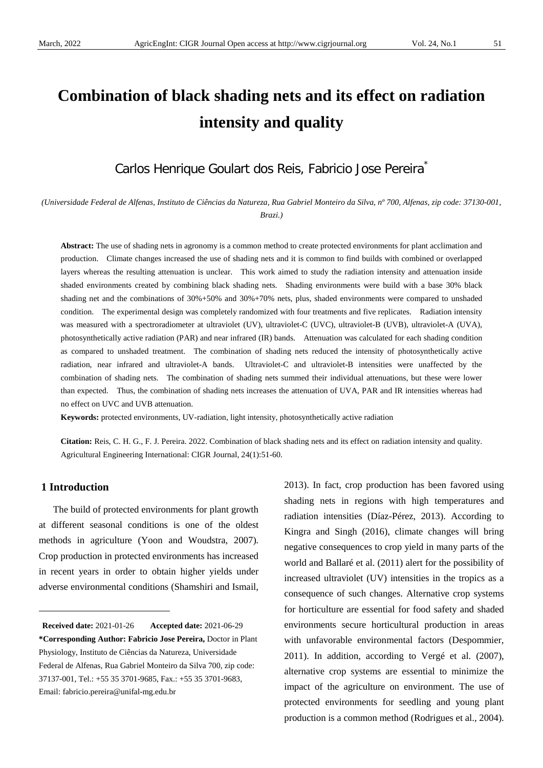# **Combination of black shading nets and its effect on radiation intensity and quality**

Carlos Henrique Goulart dos Reis, Fabricio Jose Pereira<sup>\*</sup>

*(Universidade Federal de Alfenas, Instituto de Ciências da Natureza, Rua Gabriel Monteiro da Silva, nº 700, Alfenas, zip code: 37130-001, Brazi.)*

**Abstract:** The use of shading nets in agronomy is a common method to create protected environments for plant acclimation and production. Climate changes increased the use of shading nets and it is common to find builds with combined or overlapped layers whereas the resulting attenuation is unclear. This work aimed to study the radiation intensity and attenuation inside shaded environments created by combining black shading nets. Shading environments were build with a base 30% black shading net and the combinations of 30%+50% and 30%+70% nets, plus, shaded environments were compared to unshaded condition. The experimental design was completely randomized with four treatments and five replicates. Radiation intensity was measured with a spectroradiometer at ultraviolet (UV), ultraviolet-C (UVC), ultraviolet-B (UVB), ultraviolet-A (UVA), photosynthetically active radiation (PAR) and near infrared (IR) bands. Attenuation was calculated for each shading condition as compared to unshaded treatment. The combination of shading nets reduced the intensity of photosynthetically active radiation, near infrared and ultraviolet-A bands. Ultraviolet-C and ultraviolet-B intensities were unaffected by the combination of shading nets. The combination of shading nets summed their individual attenuations, but these were lower than expected. Thus, the combination of shading nets increases the attenuation of UVA, PAR and IR intensities whereas had no effect on UVC and UVB attenuation.

**Keywords:** protected environments, UV-radiation, light intensity, photosynthetically active radiation

**Citation:** Reis, C. H. G., F. J. Pereira. 2022. Combination of black shading nets and its effect on radiation intensity and quality. Agricultural Engineering International: CIGR Journal, 24(1):51-60.

## **1 Introduction**

 $\overline{a}$ 

The build of protected environments for plant growth at different seasonal conditions is one of the oldest methods in agriculture (Yoon and Woudstra, 2007). Crop production in protected environments has increased in recent years in order to obtain higher yields under adverse environmental conditions (Shamshiri and Ismail,

2013). In fact, crop production has been favored using shading nets in regions with high temperatures and radiation intensities (Díaz-Pérez, 2013). According to Kingra and Singh (2016), climate changes will bring negative consequences to crop yield in many parts of the world and Ballaré et al. (2011) alert for the possibility of increased ultraviolet (UV) intensities in the tropics as a consequence of such changes. Alternative crop systems for horticulture are essential for food safety and shaded environments secure horticultural production in areas with unfavorable environmental factors (Despommier, 2011). In addition, according to Vergé et al. (2007), alternative crop systems are essential to minimize the impact of the agriculture on environment. The use of protected environments for seedling and young plant production is a common method (Rodrigues et al., 2004).

<span id="page-0-0"></span>**Received date:** 2021-01-26 **Accepted date:** 2021-06-29 **\*Corresponding Author: Fabricio Jose Pereira,** Doctor in Plant Physiology, Instituto de Ciências da Natureza, Universidade Federal de Alfenas, Rua Gabriel Monteiro da Silva 700, zip code: 37137-001, Tel.: +55 35 3701-9685, Fax.: +55 35 3701-9683, Email: fabricio.pereira@unifal-mg.edu.br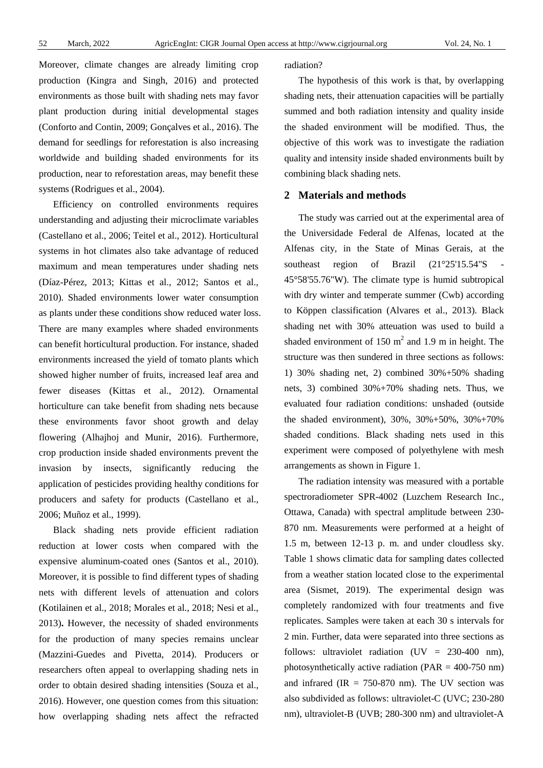Moreover, climate changes are already limiting crop production (Kingra and Singh, 2016) and protected environments as those built with shading nets may favor plant production during initial developmental stages (Conforto and Contin, 2009; Gonçalves et al., 2016). The demand for seedlings for reforestation is also increasing worldwide and building shaded environments for its production, near to reforestation areas, may benefit these systems (Rodrigues et al., 2004).

Efficiency on controlled environments requires understanding and adjusting their microclimate variables (Castellano et al., 2006; Teitel et al., 2012). Horticultural systems in hot climates also take advantage of reduced maximum and mean temperatures under shading nets (Díaz-Pérez, 2013; Kittas et al., 2012; Santos et al., 2010). Shaded environments lower water consumption as plants under these conditions show reduced water loss. There are many examples where shaded environments can benefit horticultural production. For instance, shaded environments increased the yield of tomato plants which showed higher number of fruits, increased leaf area and fewer diseases (Kittas et al., 2012). Ornamental horticulture can take benefit from shading nets because these environments favor shoot growth and delay flowering (Alhajhoj and Munir, 2016). Furthermore, crop production inside shaded environments prevent the invasion by insects, significantly reducing the application of pesticides providing healthy conditions for producers and safety for products (Castellano et al., 2006; Muñoz et al., 1999).

Black shading nets provide efficient radiation reduction at lower costs when compared with the expensive aluminum-coated ones (Santos et al., 2010). Moreover, it is possible to find different types of shading nets with different levels of attenuation and colors (Kotilainen et al., 2018; Morales et al., 2018; Nesi et al., 2013)**.** However, the necessity of shaded environments for the production of many species remains unclear (Mazzini-Guedes and Pivetta, 2014). Producers or researchers often appeal to overlapping shading nets in order to obtain desired shading intensities (Souza et al., 2016). However, one question comes from this situation: how overlapping shading nets affect the refracted radiation?

The hypothesis of this work is that, by overlapping shading nets, their attenuation capacities will be partially summed and both radiation intensity and quality inside the shaded environment will be modified. Thus, the objective of this work was to investigate the radiation quality and intensity inside shaded environments built by combining black shading nets.

#### **2 Materials and methods**

The study was carried out at the experimental area of the Universidade Federal de Alfenas, located at the Alfenas city, in the State of Minas Gerais, at the southeast region of Brazil  $(21°25'15.54"S)$ 45°58'55.76"W). The climate type is humid subtropical with dry winter and temperate summer (Cwb) according to Köppen classification (Alvares et al., 2013). Black shading net with 30% atteuation was used to build a shaded environment of  $150 \text{ m}^2$  and  $1.9 \text{ m}$  in height. The structure was then sundered in three sections as follows: 1) 30% shading net, 2) combined 30%+50% shading nets, 3) combined 30%+70% shading nets. Thus, we evaluated four radiation conditions: unshaded (outside the shaded environment), 30%, 30%+50%, 30%+70% shaded conditions. Black shading nets used in this experiment were composed of polyethylene with mesh arrangements as shown in Figure 1.

The radiation intensity was measured with a portable spectroradiometer SPR-4002 (Luzchem Research Inc., Ottawa, Canada) with spectral amplitude between 230- 870 nm. Measurements were performed at a height of 1.5 m, between 12-13 p. m. and under cloudless sky. Table 1 shows climatic data for sampling dates collected from a weather station located close to the experimental area (Sismet, 2019). The experimental design was completely randomized with four treatments and five replicates. Samples were taken at each 30 s intervals for 2 min. Further, data were separated into three sections as follows: ultraviolet radiation  $(UV = 230-400$  nm), photosynthetically active radiation (PAR = 400-750 nm) and infrared  $(IR = 750-870 \text{ nm})$ . The UV section was also subdivided as follows: ultraviolet-C (UVC; 230-280 nm), ultraviolet-B (UVB; 280-300 nm) and ultraviolet-A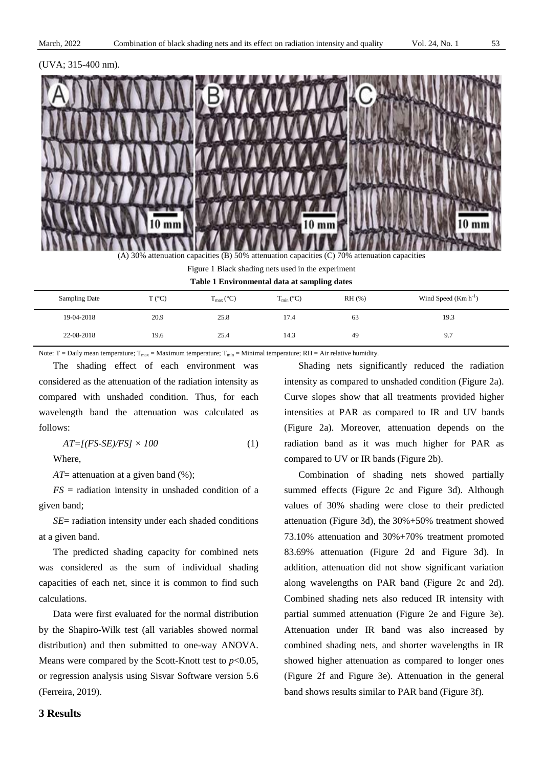



(A) 30% attenuation capacities (B) 50% attenuation capacities (C) 70% attenuation capacities

| Figure 1 Black shading nets used in the experiment |
|----------------------------------------------------|
| Table 1 Environmental data at sampling dates       |

| Sampling Date | $T (^{\circ}C)$ | $T_{\text{max}}$ (°C) | $T_{min} (^{\circ}C)$ | $RH$ (%) | Wind Speed $(Km h^{-1})$ |
|---------------|-----------------|-----------------------|-----------------------|----------|--------------------------|
| 19-04-2018    | 20.9            | 25.8                  | 17.4                  | 63       | 19.3                     |
| 22-08-2018    | 19.6            | 25.4                  | 14.3                  | 49       | 9.7                      |

Note: T = Daily mean temperature;  $T_{max}$  = Maximum temperature;  $T_{min}$  = Minimal temperature; RH = Air relative humidity.

The shading effect of each environment was considered as the attenuation of the radiation intensity as compared with unshaded condition. Thus, for each wavelength band the attenuation was calculated as follows:

$$
AT=[(FS-SE)/FS] \times 100 \tag{1}
$$

Where,

*AT*= attenuation at a given band (%);

 $FS =$  radiation intensity in unshaded condition of a given band;

*SE*= radiation intensity under each shaded conditions at a given band.

The predicted shading capacity for combined nets was considered as the sum of individual shading capacities of each net, since it is common to find such calculations.

Data were first evaluated for the normal distribution by the Shapiro-Wilk test (all variables showed normal distribution) and then submitted to one-way ANOVA. Means were compared by the Scott-Knott test to  $p<0.05$ , or regression analysis using Sisvar Software version 5.6 (Ferreira, 2019).

Shading nets significantly reduced the radiation intensity as compared to unshaded condition (Figure 2a). Curve slopes show that all treatments provided higher intensities at PAR as compared to IR and UV bands (Figure 2a). Moreover, attenuation depends on the radiation band as it was much higher for PAR as compared to UV or IR bands (Figure 2b).

Combination of shading nets showed partially summed effects (Figure 2c and Figure 3d). Although values of 30% shading were close to their predicted attenuation (Figure 3d), the 30%+50% treatment showed 73.10% attenuation and 30%+70% treatment promoted 83.69% attenuation (Figure 2d and Figure 3d). In addition, attenuation did not show significant variation along wavelengths on PAR band (Figure 2c and 2d). Combined shading nets also reduced IR intensity with partial summed attenuation (Figure 2e and Figure 3e). Attenuation under IR band was also increased by combined shading nets, and shorter wavelengths in IR showed higher attenuation as compared to longer ones (Figure 2f and Figure 3e). Attenuation in the general band shows results similar to PAR band (Figure 3f).

#### **3 Results**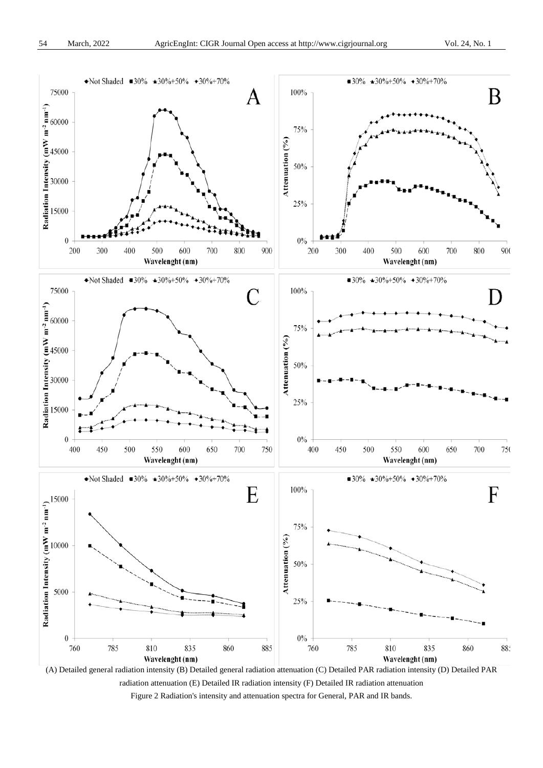

(A) Detailed general radiation intensity (B) Detailed general radiation attenuation (C) Detailed PAR radiation intensity (D) Detailed PAR radiation attenuation (E) Detailed IR radiation intensity (F) Detailed IR radiation attenuation Figure 2 Radiation's intensity and attenuation spectra for General, PAR and IR bands.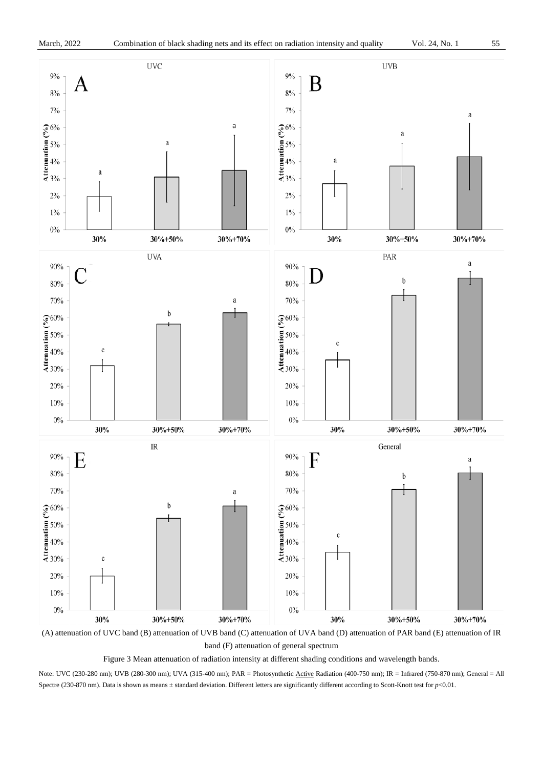

band (F) attenuation of general spectrum

Figure 3 Mean attenuation of radiation intensity at different shading conditions and wavelength bands.

Note: UVC (230-280 nm); UVB (280-300 nm); UVA (315-400 nm); PAR = Photosynthetic Active Radiation (400-750 nm); IR = Infrared (750-870 nm); General = All Spectre (230-870 nm). Data is shown as means ± standard deviation. Different letters are significantly different according to Scott-Knott test for  $p$ <0.01.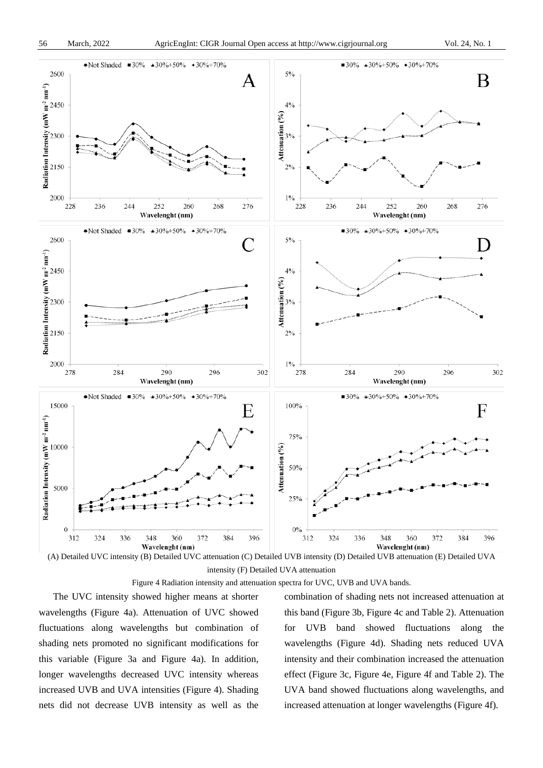

(A) Detailed UVC intensity (B) Detailed UVC attenuation (C) Detailed UVB intensity (D) Detailed UVB attenuation (E) Detailed UVA intensity (F) Detailed UVA attenuation

Figure 4 Radiation intensity and attenuation spectra for UVC, UVB and UVA bands.

The UVC intensity showed higher means at shorter wavelengths (Figure 4a). Attenuation of UVC showed fluctuations along wavelengths but combination of shading nets promoted no significant modifications for this variable (Figure 3a and Figure 4a). In addition, longer wavelengths decreased UVC intensity whereas increased UVB and UVA intensities (Figure 4). Shading nets did not decrease UVB intensity as well as the combination of shading nets not increased attenuation at this band (Figure 3b, Figure 4c and Table 2). Attenuation for UVB band showed fluctuations along the wavelengths (Figure 4d). Shading nets reduced UVA intensity and their combination increased the attenuation effect (Figure 3c, Figure 4e, Figure 4f and Table 2). The UVA band showed fluctuations along wavelengths, and increased attenuation at longer wavelengths (Figure 4f).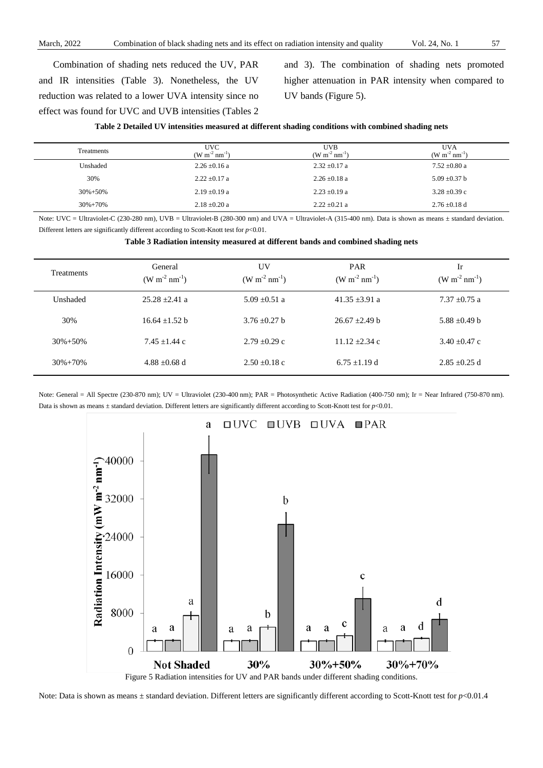Combination of shading nets reduced the UV, PAR and IR intensities (Table 3). Nonetheless, the UV reduction was related to a lower UVA intensity since no effect was found for UVC and UVB intensities (Tables 2 and 3). The combination of shading nets promoted higher attenuation in PAR intensity when compared to UV bands (Figure 5).

| Table 2 Detailed UV intensities measured at different shading conditions with combined shading nets |  |  |  |
|-----------------------------------------------------------------------------------------------------|--|--|--|
|-----------------------------------------------------------------------------------------------------|--|--|--|

| Treatments    | <b>UVC</b><br>$(W m^{-2} nm^{-1})$ | UVB<br>$(W m^{-2} nm^{-1})$ | <b>UVA</b><br>$(W m^{-2} nm^{-1})$ |
|---------------|------------------------------------|-----------------------------|------------------------------------|
| Unshaded      | $2.26 \pm 0.16$ a                  | $2.32 \pm 0.17$ a           | $7.52 \pm 0.80$ a                  |
| 30%           | $2.22 \pm 0.17$ a                  | $2.26 \pm 0.18$ a           | $5.09 \pm 0.37$ b                  |
| $30\% + 50\%$ | $2.19 \pm 0.19$ a                  | $2.23 \pm 0.19$ a           | $3.28 \pm 0.39$ c                  |
| $30\% + 70\%$ | $2.18 \pm 0.20$ a                  | $2.22 \pm 0.21$ a           | $2.76 \pm 0.18$ d                  |

Note: UVC = Ultraviolet-C (230-280 nm), UVB = Ultraviolet-B (280-300 nm) and UVA = Ultraviolet-A (315-400 nm). Data is shown as means ± standard deviation. Different letters are significantly different according to Scott-Knott test for *p*<0.01.

**Table 3 Radiation intensity measured at different bands and combined shading nets**

| <b>Treatments</b> | General<br>$(W m^{-2} nm^{-1})$ | UV<br>$(W m^{-2} nm^{-1})$ | <b>PAR</b><br>$(W m^{-2} nm^{-1})$ | Ir<br>$(W m^{-2} nm^{-1})$ |
|-------------------|---------------------------------|----------------------------|------------------------------------|----------------------------|
| Unshaded          | $25.28 + 2.41$ a                | $5.09 + 0.51$ a            | $41.35 + 3.91$ a                   | $7.37 + 0.75$ a            |
| 30%               | $16.64 + 1.52$ b                | $3.76 + 0.27$ b            | $26.67 \pm 2.49 b$                 | 5.88 $\pm$ 0.49 b          |
| $30\% + 50\%$     | $7.45 + 1.44$ c                 | $2.79 + 0.29c$             | $11.12 + 2.34c$                    | $3.40 + 0.47$ c            |
| $30\% + 70\%$     | $4.88 \pm 0.68$ d               | $2.50 \pm 0.18$ c          | $6.75 \pm 1.19$ d                  | $2.85 + 0.25$ d            |

Note: General = All Spectre (230-870 nm); UV = Ultraviolet (230-400 nm); PAR = Photosynthetic Active Radiation (400-750 nm); Ir = Near Infrared (750-870 nm). Data is shown as means ± standard deviation. Different letters are significantly different according to Scott-Knott test for *p*<0.01.



Note: Data is shown as means  $\pm$  standard deviation. Different letters are significantly different according to Scott-Knott test for *p*<0.01.4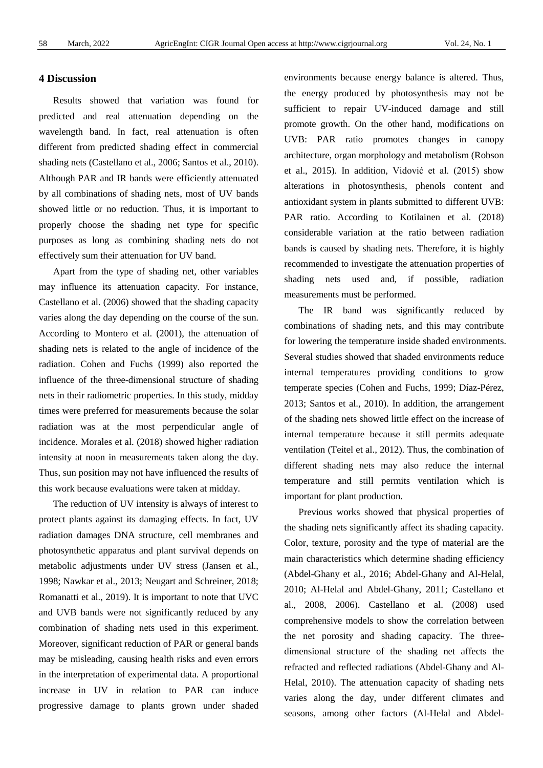## **4 Discussion**

Results showed that variation was found for predicted and real attenuation depending on the wavelength band. In fact, real attenuation is often different from predicted shading effect in commercial shading nets (Castellano et al., 2006; Santos et al., 2010). Although PAR and IR bands were efficiently attenuated by all combinations of shading nets, most of UV bands showed little or no reduction. Thus, it is important to properly choose the shading net type for specific purposes as long as combining shading nets do not effectively sum their attenuation for UV band.

Apart from the type of shading net, other variables may influence its attenuation capacity. For instance, Castellano et al. (2006) showed that the shading capacity varies along the day depending on the course of the sun. According to Montero et al. (2001), the attenuation of shading nets is related to the angle of incidence of the radiation. Cohen and Fuchs (1999) also reported the influence of the three-dimensional structure of shading nets in their radiometric properties. In this study, midday times were preferred for measurements because the solar radiation was at the most perpendicular angle of incidence. Morales et al. (2018) showed higher radiation intensity at noon in measurements taken along the day. Thus, sun position may not have influenced the results of this work because evaluations were taken at midday.

The reduction of UV intensity is always of interest to protect plants against its damaging effects. In fact, UV radiation damages DNA structure, cell membranes and photosynthetic apparatus and plant survival depends on metabolic adjustments under UV stress (Jansen et al., 1998; Nawkar et al., 2013; Neugart and Schreiner, 2018; Romanatti et al., 2019). It is important to note that UVC and UVB bands were not significantly reduced by any combination of shading nets used in this experiment. Moreover, significant reduction of PAR or general bands may be misleading, causing health risks and even errors in the interpretation of experimental data. A proportional increase in UV in relation to PAR can induce progressive damage to plants grown under shaded

environments because energy balance is altered. Thus, the energy produced by photosynthesis may not be sufficient to repair UV-induced damage and still promote growth. On the other hand, modifications on UVB: PAR ratio promotes changes in canopy architecture, organ morphology and metabolism (Robson et al., 2015). In addition, Vidović et al. (2015) show alterations in photosynthesis, phenols content and antioxidant system in plants submitted to different UVB: PAR ratio. According to Kotilainen et al. (2018) considerable variation at the ratio between radiation bands is caused by shading nets. Therefore, it is highly recommended to investigate the attenuation properties of shading nets used and, if possible, radiation measurements must be performed.

The IR band was significantly reduced by combinations of shading nets, and this may contribute for lowering the temperature inside shaded environments. Several studies showed that shaded environments reduce internal temperatures providing conditions to grow temperate species (Cohen and Fuchs, 1999; Díaz-Pérez, 2013; Santos et al., 2010). In addition, the arrangement of the shading nets showed little effect on the increase of internal temperature because it still permits adequate ventilation (Teitel et al., 2012). Thus, the combination of different shading nets may also reduce the internal temperature and still permits ventilation which is important for plant production.

Previous works showed that physical properties of the shading nets significantly affect its shading capacity. Color, texture, porosity and the type of material are the main characteristics which determine shading efficiency (Abdel-Ghany et al., 2016; Abdel-Ghany and Al-Helal, 2010; Al-Helal and Abdel-Ghany, 2011; Castellano et al., 2008, 2006). Castellano et al. (2008) used comprehensive models to show the correlation between the net porosity and shading capacity. The threedimensional structure of the shading net affects the refracted and reflected radiations (Abdel-Ghany and Al-Helal, 2010). The attenuation capacity of shading nets varies along the day, under different climates and seasons, among other factors (Al-Helal and Abdel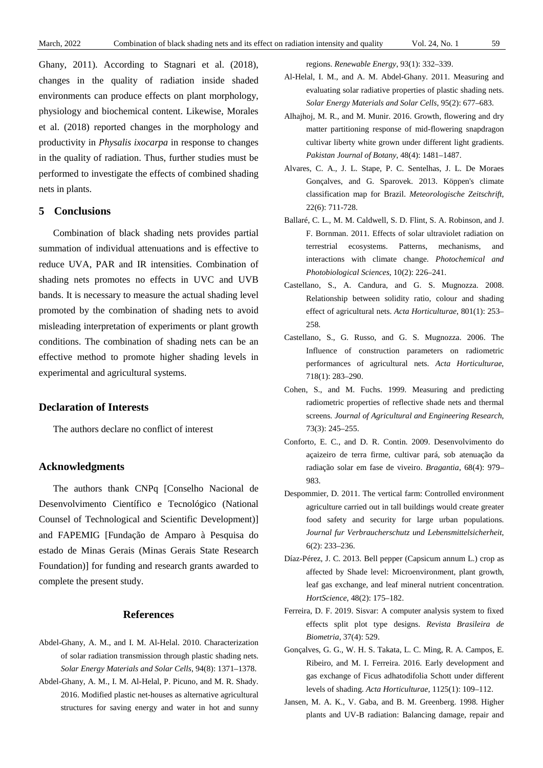Ghany, 2011). According to Stagnari et al. (2018), changes in the quality of radiation inside shaded environments can produce effects on plant morphology, physiology and biochemical content. Likewise, Morales et al. (2018) reported changes in the morphology and productivity in *Physalis ixocarpa* in response to changes in the quality of radiation. Thus, further studies must be performed to investigate the effects of combined shading nets in plants.

# **5 Conclusions**

Combination of black shading nets provides partial summation of individual attenuations and is effective to reduce UVA, PAR and IR intensities. Combination of shading nets promotes no effects in UVC and UVB bands. It is necessary to measure the actual shading level promoted by the combination of shading nets to avoid misleading interpretation of experiments or plant growth conditions. The combination of shading nets can be an effective method to promote higher shading levels in experimental and agricultural systems.

#### **Declaration of Interests**

The authors declare no conflict of interest

# **Acknowledgments**

The authors thank CNPq [Conselho Nacional de Desenvolvimento Científico e Tecnológico (National Counsel of Technological and Scientific Development)] and FAPEMIG [Fundação de Amparo à Pesquisa do estado de Minas Gerais (Minas Gerais State Research Foundation)] for funding and research grants awarded to complete the present study.

## **References**

- Abdel-Ghany, A. M., and I. M. Al-Helal. 2010. Characterization of solar radiation transmission through plastic shading nets. *Solar Energy Materials and Solar Cells*, 94(8): 1371–1378.
- Abdel-Ghany, A. M., I. M. Al-Helal, P. Picuno, and M. R. Shady. 2016. Modified plastic net-houses as alternative agricultural structures for saving energy and water in hot and sunny

regions. *Renewable Energy*, 93(1): 332–339.

- Al-Helal, I. M., and A. M. Abdel-Ghany. 2011. Measuring and evaluating solar radiative properties of plastic shading nets. *Solar Energy Materials and Solar Cells*, 95(2): 677–683.
- Alhajhoj, M. R., and M. Munir. 2016. Growth, flowering and dry matter partitioning response of mid-flowering snapdragon cultivar liberty white grown under different light gradients. *Pakistan Journal of Botany*, 48(4): 1481–1487.
- Alvares, C. A., J. L. Stape, P. C. Sentelhas, J. L. De Moraes Gonçalves, and G. Sparovek. 2013. Köppen's climate classification map for Brazil. *Meteorologische Zeitschrift*, 22(6): 711-728.
- Ballaré, C. L., M. M. Caldwell, S. D. Flint, S. A. Robinson, and J. F. Bornman. 2011. Effects of solar ultraviolet radiation on terrestrial ecosystems. Patterns, mechanisms, and interactions with climate change. *Photochemical and Photobiological Sciences*, 10(2): 226–241.
- Castellano, S., A. Candura, and G. S. Mugnozza. 2008. Relationship between solidity ratio, colour and shading effect of agricultural nets. *Acta Horticulturae*, 801(1): 253– 258.
- Castellano, S., G. Russo, and G. S. Mugnozza. 2006. The Influence of construction parameters on radiometric performances of agricultural nets. *Acta Horticulturae*, 718(1): 283–290.
- Cohen, S., and M. Fuchs. 1999. Measuring and predicting radiometric properties of reflective shade nets and thermal screens. *Journal of Agricultural and Engineering Research*, 73(3): 245–255.
- Conforto, E. C., and D. R. Contin. 2009. Desenvolvimento do açaizeiro de terra firme, cultivar pará, sob atenuação da radiação solar em fase de viveiro. *Bragantia*, 68(4): 979– 983.
- Despommier, D. 2011. The vertical farm: Controlled environment agriculture carried out in tall buildings would create greater food safety and security for large urban populations. *Journal fur Verbraucherschutz und Lebensmittelsicherheit*, 6(2): 233–236.
- Díaz-Pérez, J. C. 2013. Bell pepper (Capsicum annum L.) crop as affected by Shade level: Microenvironment, plant growth, leaf gas exchange, and leaf mineral nutrient concentration. *HortScience*, 48(2): 175–182.
- Ferreira, D. F. 2019. Sisvar: A computer analysis system to fixed effects split plot type designs. *Revista Brasileira de Biometria*, 37(4): 529.
- Gonçalves, G. G., W. H. S. Takata, L. C. Ming, R. A. Campos, E. Ribeiro, and M. I. Ferreira. 2016. Early development and gas exchange of Ficus adhatodifolia Schott under different levels of shading. *Acta Horticulturae*, 1125(1): 109–112.
- Jansen, M. A. K., V. Gaba, and B. M. Greenberg. 1998. Higher plants and UV-B radiation: Balancing damage, repair and